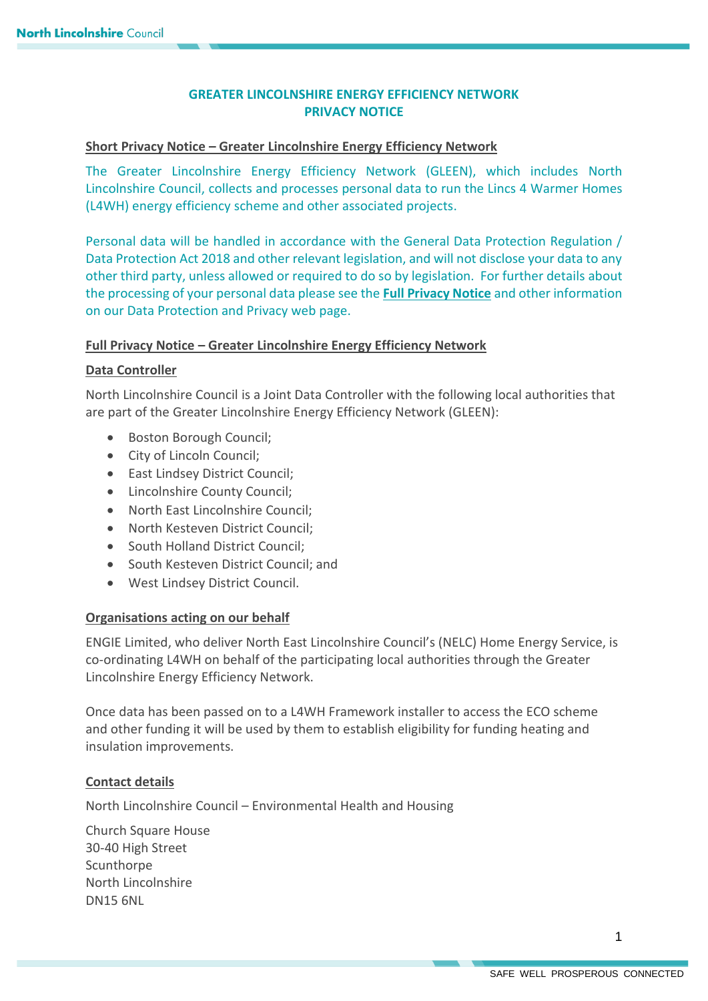# **GREATER LINCOLNSHIRE ENERGY EFFICIENCY NETWORK PRIVACY NOTICE**

## **Short Privacy Notice – Greater Lincolnshire Energy Efficiency Network**

The Greater Lincolnshire Energy Efficiency Network (GLEEN), which includes North Lincolnshire Council, collects and processes personal data to run the Lincs 4 Warmer Homes (L4WH) energy efficiency scheme and other associated projects.

Personal data will be handled in accordance with the General Data Protection Regulation / Data Protection Act 2018 and other relevant legislation, and will not disclose your data to any other third party, unless allowed or required to do so by legislation. For further details about the processing of your personal data please see the **[Full Privacy Notice](https://www.northlincs.gov.uk/your-council/about-your-council/information-and-performance/information-governance/data-protection-and-privacy/)** and other information on our Data Protection and Privacy web page.

#### **Full Privacy Notice – Greater Lincolnshire Energy Efficiency Network**

## **Data Controller**

North Lincolnshire Council is a Joint Data Controller with the following local authorities that are part of the Greater Lincolnshire Energy Efficiency Network (GLEEN):

- Boston Borough Council;
- City of Lincoln Council;
- East Lindsey District Council;
- Lincolnshire County Council;
- North East Lincolnshire Council;
- North Kesteven District Council;
- South Holland District Council:
- South Kesteven District Council; and
- West Lindsey District Council.

#### **Organisations acting on our behalf**

ENGIE Limited, who deliver North East Lincolnshire Council's (NELC) Home Energy Service, is co-ordinating L4WH on behalf of the participating local authorities through the Greater Lincolnshire Energy Efficiency Network.

Once data has been passed on to a L4WH Framework installer to access the ECO scheme and other funding it will be used by them to establish eligibility for funding heating and insulation improvements.

#### **Contact details**

North Lincolnshire Council – Environmental Health and Housing

Church Square House 30-40 High Street **Scunthorpe** North Lincolnshire DN15 6NL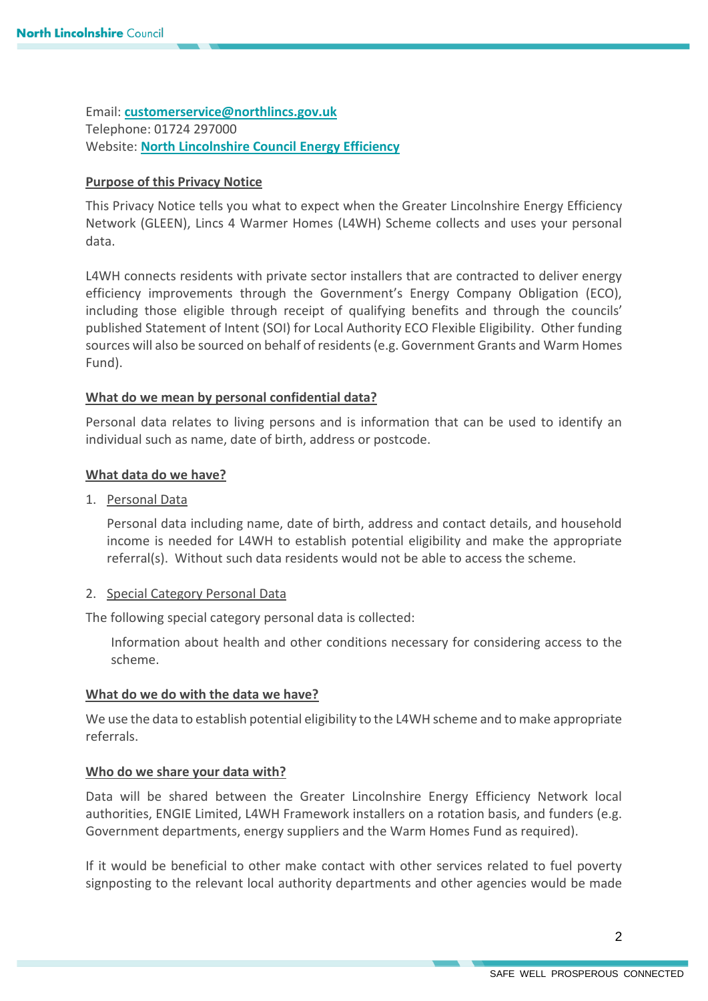Email: **[customerservice@northlincs.gov.uk](mailto:customerservice@northlincs.gov.uk)** Telephone: 01724 297000 Website: **[North Lincolnshire Council Energy Efficiency](https://www.northlincs.gov.uk/news/energy-efficient-heating-for-homes/)**

## **Purpose of this Privacy Notice**

This Privacy Notice tells you what to expect when the Greater Lincolnshire Energy Efficiency Network (GLEEN), Lincs 4 Warmer Homes (L4WH) Scheme collects and uses your personal data.

L4WH connects residents with private sector installers that are contracted to deliver energy efficiency improvements through the Government's Energy Company Obligation (ECO), including those eligible through receipt of qualifying benefits and through the councils' published Statement of Intent (SOI) for Local Authority ECO Flexible Eligibility. Other funding sources will also be sourced on behalf of residents (e.g. Government Grants and Warm Homes Fund).

## **What do we mean by personal confidential data?**

Personal data relates to living persons and is information that can be used to identify an individual such as name, date of birth, address or postcode.

## **What data do we have?**

1. Personal Data

Personal data including name, date of birth, address and contact details, and household income is needed for L4WH to establish potential eligibility and make the appropriate referral(s). Without such data residents would not be able to access the scheme.

#### 2. Special Category Personal Data

The following special category personal data is collected:

Information about health and other conditions necessary for considering access to the scheme.

#### **What do we do with the data we have?**

We use the data to establish potential eligibility to the L4WH scheme and to make appropriate referrals.

#### **Who do we share your data with?**

Data will be shared between the Greater Lincolnshire Energy Efficiency Network local authorities, ENGIE Limited, L4WH Framework installers on a rotation basis, and funders (e.g. Government departments, energy suppliers and the Warm Homes Fund as required).

If it would be beneficial to other make contact with other services related to fuel poverty signposting to the relevant local authority departments and other agencies would be made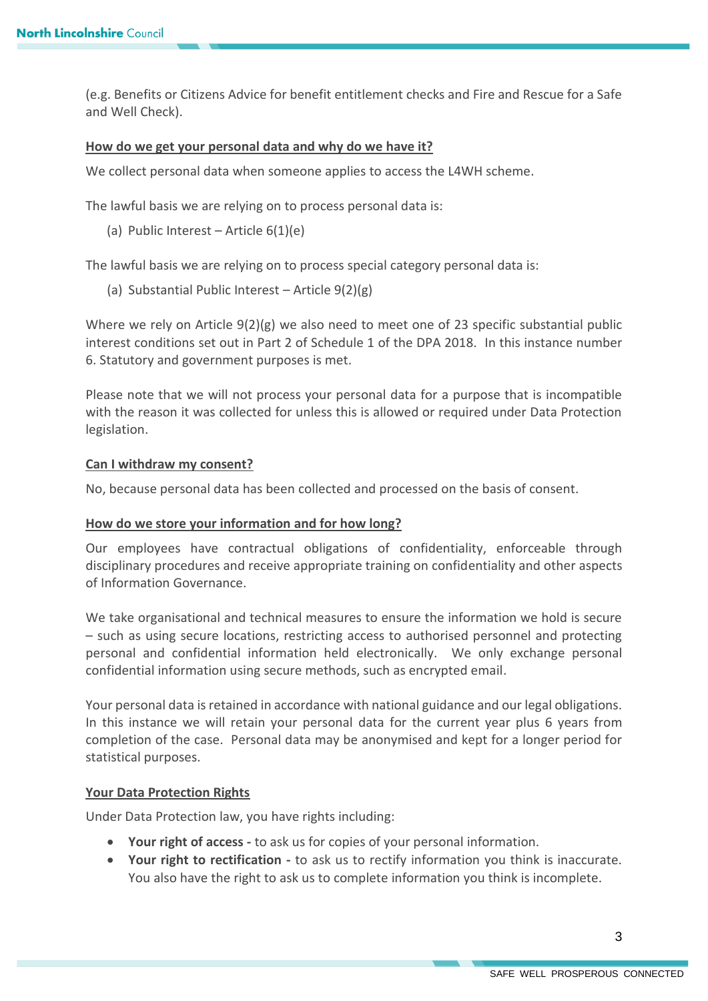(e.g. Benefits or Citizens Advice for benefit entitlement checks and Fire and Rescue for a Safe and Well Check).

## **How do we get your personal data and why do we have it?**

We collect personal data when someone applies to access the L4WH scheme.

The lawful basis we are relying on to process personal data is:

(a) Public Interest – Article  $6(1)(e)$ 

The lawful basis we are relying on to process special category personal data is:

(a) Substantial Public Interest – Article 9(2)(g)

Where we rely on Article 9(2)(g) we also need to meet one of 23 specific substantial public interest conditions set out in Part 2 of Schedule 1 of the DPA 2018. In this instance number 6. Statutory and government purposes is met.

Please note that we will not process your personal data for a purpose that is incompatible with the reason it was collected for unless this is allowed or required under Data Protection legislation.

#### **Can I withdraw my consent?**

No, because personal data has been collected and processed on the basis of consent.

#### **How do we store your information and for how long?**

Our employees have contractual obligations of confidentiality, enforceable through disciplinary procedures and receive appropriate training on confidentiality and other aspects of Information Governance.

We take organisational and technical measures to ensure the information we hold is secure – such as using secure locations, restricting access to authorised personnel and protecting personal and confidential information held electronically. We only exchange personal confidential information using secure methods, such as encrypted email.

Your personal data is retained in accordance with national guidance and our legal obligations. In this instance we will retain your personal data for the current year plus 6 years from completion of the case. Personal data may be anonymised and kept for a longer period for statistical purposes.

#### **Your Data Protection Rights**

Under Data Protection law, you have rights including:

- **Your right of access -** to ask us for copies of your personal information.
- **Your right to rectification -** to ask us to rectify information you think is inaccurate. You also have the right to ask us to complete information you think is incomplete.